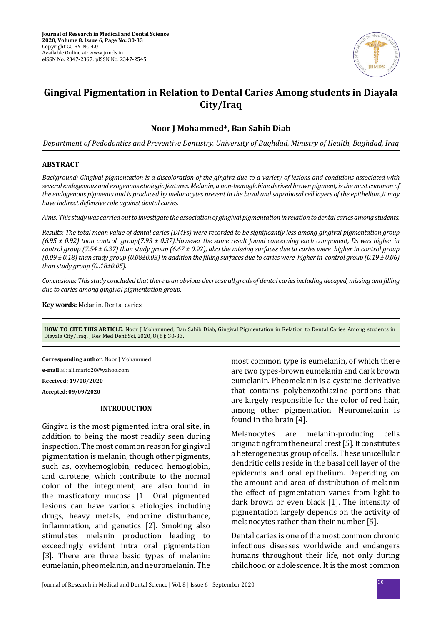

# **Gingival Pigmentation in Relation to Dental Caries Among students in Diayala City/Iraq**

# **Noor J Mohammed\*, Ban Sahib Diab**

*Department of Pedodontics and Preventive Dentistry, University of Baghdad, Ministry of Health, Baghdad, Iraq*

### **ABSTRACT**

*Background: Gingival pigmentation is a discoloration of the gingiva due to a variety of lesions and conditions associated with several endogenous and exogenous etiologic features. Melanin, a non-hemoglobine derived brown pigment, is the most common of the endogenous pigments and is produced by melanocytes present in the basal and suprabasal cell layers of the epithelium,it may have indirect defensive role against dental caries.* 

*Aims: This study was carried out to investigate the association of gingival pigmentation in relation to dental caries among students.* 

*Results: The total mean value of dental caries (DMFs) were recorded to be significantly less among gingival pigmentation group (6.95 ± 0.92) than control group(7.93 ± 0.37).However the same result found concerning each component, Ds was higher in control group (7.54 ± 0.37) than study group (6.67 ± 0.92), also the missing surfaces due to caries were higher in control group (0.09 ± 0.18) than study group (0.08±0.03) in addition the filling surfaces due to caries were higher in control group (0.19 ± 0.06) than study group (0..18±0.05).* 

*Conclusions: This study concluded that there is an obvious decrease all grads of dental caries including decayed, missing and filling due to caries among gingival pigmentation group.*

**Key words:** Melanin, Dental caries

**HOW TO CITE THIS ARTICLE**: Noor J Mohammed, Ban Sahib Diab, Gingival Pigmentation in Relation to Dental Caries Among students in Diayala City/Iraq, J Res Med Dent Sci, 2020, 8 (6): 30-33.

**Corresponding author**: Noor J Mohammed

**e-mail**⊠: ali.mario28@yahoo.com

**Received: 19/08/2020**

**Accepted: 09/09/2020**

#### **INTRODUCTION**

Gingiva is the most pigmented intra oral site, in addition to being the most readily seen during inspection. The most common reason for gingival pigmentation is melanin, though other pigments, such as, oxyhemoglobin, reduced hemoglobin, and carotene, which contribute to the normal color of the integument, are also found in the masticatory mucosa [1]. Oral pigmented lesions can have various etiologies including drugs, heavy metals, endocrine disturbance, inflammation, and genetics [2]. Smoking also stimulates melanin production leading to exceedingly evident intra oral pigmentation [3]. There are three basic types of melanin: eumelanin, pheomelanin, and neuromelanin. The most common type is eumelanin, of which there are two types-brown eumelanin and dark brown eumelanin. Pheomelanin is a cysteine-derivative that contains polybenzothiazine portions that are largely responsible for the color of red hair, among other pigmentation. Neuromelanin is found in the brain [4].

Melanocytes are melanin-producing cells originating from the neural crest [5]. It constitutes a heterogeneous group of cells. These unicellular dendritic cells reside in the basal cell layer of the epidermis and oral epithelium. Depending on the amount and area of distribution of melanin the effect of pigmentation varies from light to dark brown or even black [1]. The intensity of pigmentation largely depends on the activity of melanocytes rather than their number [5].

Dental caries is one of the most common chronic infectious diseases worldwide and endangers humans throughout their life, not only during childhood or adolescence. It is the most common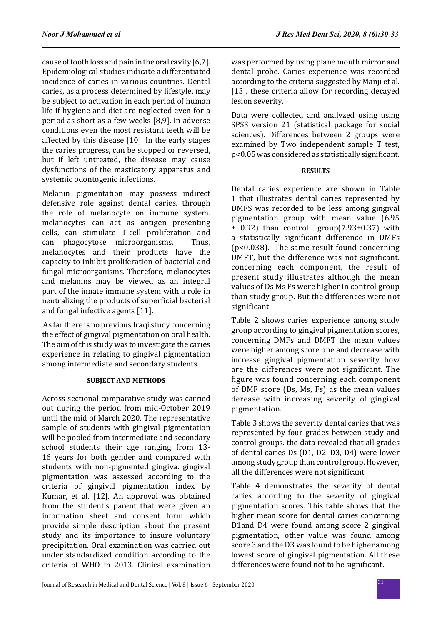cause of tooth loss and pain in the oral cavity [6,7]. Epidemiological studies indicate a differentiated incidence of caries in various countries. Dental caries, as a process determined by lifestyle, may be subject to activation in each period of human life if hygiene and diet are neglected even for a period as short as a few weeks [8,9]. In adverse conditions even the most resistant teeth will be affected by this disease [10]. In the early stages the caries progress, can be stopped or reversed, but if left untreated, the disease may cause dysfunctions of the masticatory apparatus and systemic odontogenic infections.

Melanin pigmentation may possess indirect defensive role against dental caries, through the role of melanocyte on immune system. melanocytes can act as antigen presenting cells, can stimulate T-cell proliferation and<br>can phagocytose microorganisms. Thus. can phagocytose microorganisms. melanocytes and their products have the capacity to inhibit proliferation of bacterial and fungal microorganisms. Therefore, melanocytes and melanins may be viewed as an integral part of the innate immune system with a role in neutralizing the products of superficial bacterial and fungal infective agents [11].

 As far there is no previous Iraqi study concerning the effect of gingival pigmentation on oral health. The aim of this study was to investigate the caries experience in relating to gingival pigmentation among intermediate and secondary students.

# **SUBJECT AND METHODS**

Across sectional comparative study was carried out during the period from mid-October 2019 until the mid of March 2020. The representative sample of students with gingival pigmentation will be pooled from intermediate and secondary school students their age ranging from 13- 16 years for both gender and compared with students with non-pigmented gingiva. gingival pigmentation was assessed according to the criteria of gingival pigmentation index by Kumar, et al. [12]. An approval was obtained from the student's parent that were given an information sheet and consent form which provide simple description about the present study and its importance to insure voluntary precipitation. Oral examination was carried out under standardized condition according to the criteria of WHO in 2013. Clinical examination was performed by using plane mouth mirror and dental probe. Caries experience was recorded according to the criteria suggested by Manji et al. [13], these criteria allow for recording decayed lesion severity.

Data were collected and analyzed using using SPSS version 21 (statistical package for social sciences). Differences between 2 groups were examined by Two independent sample T test, p<0.05 was considered as statistically significant.

# **RESULTS**

Dental caries experience are shown in Table 1 that illustrates dental caries represented by DMFS was recorded to be less among gingival pigmentation group with mean value (6.95 ± 0.92) than control group(7.93±0.37) with a statistically significant difference in DMFs (p<0.038). The same result found concerning DMFT, but the difference was not significant. concerning each component, the result of present study illustrates although the mean values of Ds Ms Fs were higher in control group than study group. But the differences were not significant.

Table 2 shows caries experience among study group according to gingival pigmentation scores, concerning DMFs and DMFT the mean values were higher among score one and decrease with increase gingival pigmentation severity how are the differences were not significant. The figure was found concerning each component of DMF score (Ds, Ms, Fs) as the mean values derease with increasing severity of gingival pigmentation.

Table 3 shows the severity dental caries that was represented by four grades between study and control groups. the data revealed that all grades of dental caries Ds (D1, D2, D3, D4) were lower among study group than control group. However, all the differences were not significant.

Table 4 demonstrates the severity of dental caries according to the severity of gingival pigmentation scores. This table shows that the higher mean score for dental caries concerning D1and D4 were found among score 2 gingival pigmentation, other value was found among score 3 and the D3 was found to be higher among lowest score of gingival pigmentation. All these differences were found not to be significant.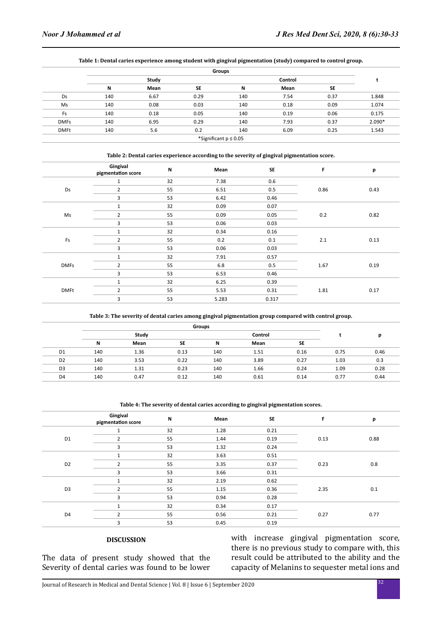|             |                           |      |      | Groups  |      |      |        |  |  |
|-------------|---------------------------|------|------|---------|------|------|--------|--|--|
|             | Study                     |      |      | Control |      |      |        |  |  |
|             | N                         | Mean | SE   | N       | Mean | SE   |        |  |  |
| Ds          | 140                       | 6.67 | 0.29 | 140     | 7.54 | 0.37 | 1.848  |  |  |
| Ms          | 140                       | 0.08 | 0.03 | 140     | 0.18 | 0.09 | 1.074  |  |  |
| Fs          | 140                       | 0.18 | 0.05 | 140     | 0.19 | 0.06 | 0.175  |  |  |
| <b>DMFs</b> | 140                       | 6.95 | 0.29 | 140     | 7.93 | 0.37 | 2.090* |  |  |
| <b>DMFt</b> | 140                       | 5.6  | 0.2  | 140     | 6.09 | 0.25 | 1.543  |  |  |
|             | *Significant $p \le 0.05$ |      |      |         |      |      |        |  |  |

#### **Table 1: Dental caries experience among student with gingival pigmentation (study) compared to control group.**

| Table 2: Dental caries experience according to the severity of gingival pigmentation score. |                                |    |       |           |      |      |
|---------------------------------------------------------------------------------------------|--------------------------------|----|-------|-----------|------|------|
|                                                                                             | Gingival<br>pigmentation score | N  | Mean  | <b>SE</b> | F    | р    |
|                                                                                             | 1                              | 32 | 7.38  | 0.6       |      |      |
| Ds                                                                                          | $\overline{2}$                 | 55 | 6.51  | 0.5       | 0.86 | 0.43 |
|                                                                                             | 3                              | 53 | 6.42  | 0.46      |      |      |
| Ms                                                                                          | 1                              | 32 | 0.09  | 0.07      |      | 0.82 |
|                                                                                             | 2                              | 55 | 0.09  | 0.05      | 0.2  |      |
|                                                                                             | 3                              | 53 | 0.06  | 0.03      |      |      |
| Fs                                                                                          | $\mathbf{1}$                   | 32 | 0.34  | 0.16      |      | 0.13 |
|                                                                                             | $\overline{2}$                 | 55 | 0.2   | 0.1       | 2.1  |      |
|                                                                                             | 3                              | 53 | 0.06  | 0.03      |      |      |
| <b>DMFs</b>                                                                                 | 1                              | 32 | 7.91  | 0.57      |      |      |
|                                                                                             | $\overline{2}$                 | 55 | 6.8   | 0.5       | 1.67 | 0.19 |
|                                                                                             | 3                              | 53 | 6.53  | 0.46      |      |      |
| <b>DMFt</b>                                                                                 |                                | 32 | 6.25  | 0.39      |      |      |
|                                                                                             | $\overline{2}$                 | 55 | 5.53  | 0.31      | 1.81 | 0.17 |
|                                                                                             | 3                              | 53 | 5.283 | 0.317     |      |      |

#### **Table 3: The severity of dental caries among gingival pigmentation group compared with control group.**

|                | <b>Groups</b> |      |           |         |      |           |      |      |
|----------------|---------------|------|-----------|---------|------|-----------|------|------|
|                | Study         |      |           | Control |      |           |      | р    |
|                | N             | Mean | <b>SE</b> | N       | Mean | <b>SE</b> |      |      |
| D <sub>1</sub> | 140           | 1.36 | 0.13      | 140     | 1.51 | 0.16      | 0.75 | 0.46 |
| D <sub>2</sub> | 140           | 3.53 | 0.22      | 140     | 3.89 | 0.27      | 1.03 | 0.3  |
| D <sub>3</sub> | 140           | 1.31 | 0.23      | 140     | 1.66 | 0.24      | 1.09 | 0.28 |
| D <sub>4</sub> | 140           | 0.47 | 0.12      | 140     | 0.61 | 0.14      | 0.77 | 0.44 |

#### **Table 4: The severity of dental caries according to gingival pigmentation scores.**

|                | Gingival<br>pigmentation score | N  | Mean | <b>SE</b> | F    | p    |
|----------------|--------------------------------|----|------|-----------|------|------|
| D <sub>1</sub> |                                | 32 | 1.28 | 0.21      |      |      |
|                | $\overline{2}$                 | 55 | 1.44 | 0.19      | 0.13 | 0.88 |
|                | 3                              | 53 | 1.32 | 0.24      |      |      |
|                |                                | 32 | 3.63 | 0.51      |      |      |
| D <sub>2</sub> | $\overline{2}$                 | 55 | 3.35 | 0.37      | 0.23 | 0.8  |
|                | 3                              | 53 | 3.66 | 0.31      |      |      |
|                |                                | 32 | 2.19 | 0.62      |      |      |
| D <sub>3</sub> | $\overline{2}$                 | 55 | 1.15 | 0.36      | 2.35 | 0.1  |
|                | 3                              | 53 | 0.94 | 0.28      |      |      |
| D <sub>4</sub> |                                | 32 | 0.34 | 0.17      |      |      |
|                | J.                             | 55 | 0.56 | 0.21      | 0.27 | 0.77 |
|                | 3                              | 53 | 0.45 | 0.19      |      |      |

## **DISCUSSION**

The data of present study showed that the Severity of dental caries was found to be lower with increase gingival pigmentation score, there is no previous study to compare with, this result could be attributed to the ability and the capacity of Melanins to sequester metal ions and